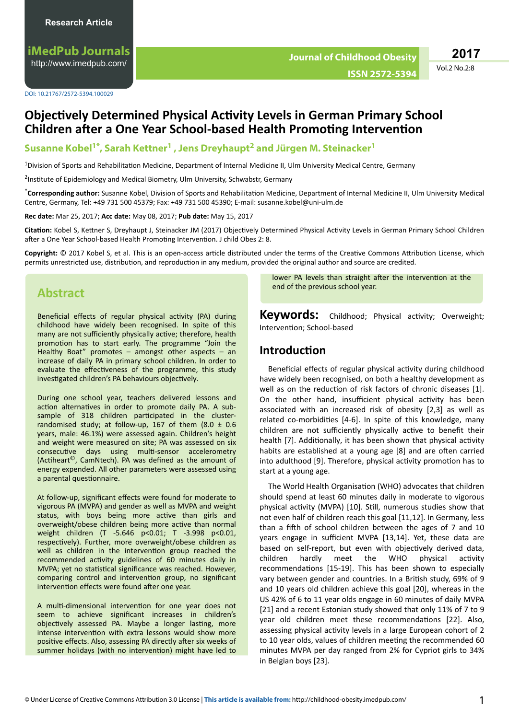**iMedPub Journals** <http://www.imedpub.com/>

DOI: 10.21767/2572-5394.100029

Vol.2 No.2:8 **2017**

# **C**bjectively Determined Physical Activity Levels in German Primary School **Children after a One Year School-based Health Promoting Intervention**

## **Susanne Kobel1\*, Sarah Kettner<sup>1</sup> , Jens Dreyhaupt<sup>2</sup> and Jürgen M. Steinacker<sup>1</sup>**

<sup>1</sup>Division of Sports and Rehabilitation Medicine, Department of Internal Medicine II, Ulm University Medical Centre, Germany

<sup>2</sup>Institute of Epidemiology and Medical Biometry, Ulm University, Schwabstr, Germany

\*Corresponding author: Susanne Kobel, Division of Sports and Rehabilitation Medicine, Department of Internal Medicine II, Ulm University Medical Centre, Germany, Tel: +49 731 500 45379; Fax: +49 731 500 45390; E-mail: susanne.kobel@uni-ulm.de

**Rec date:** Mar 25, 2017; **Acc date:** May 08, 2017; **Pub date:** May 15, 2017

Citation: Kobel S, Kettner S, Dreyhaupt J, Steinacker JM (2017) Objectively Determined Physical Activity Levels in German Primary School Children after a One Year School-based Health Promoting Intervention. J child Obes 2: 8.

Copyright: © 2017 Kobel S, et al. This is an open-access article distributed under the terms of the Creative Commons Attribution License, which permits unrestricted use, distribution, and reproduction in any medium, provided the original author and source are credited.

## **Abstract**

Beneficial effects of regular physical activity (PA) during childhood have widely been recognised. In spite of this many are not sufficiently physically active; therefore, health promotion has to start early. The programme "Join the Healthy Boat" promotes – amongst other aspects – an increase of daily PA in primary school children. In order to evaluate the effectiveness of the programme, this study investigated children's PA behaviours objectively.

During one school year, teachers delivered lessons and action alternatives in order to promote daily PA. A subsample of 318 children participated in the clusterrandomised study; at follow-up, 167 of them  $(8.0 \pm 0.6)$ years, male: 46.1%) were assessed again. Children's height and weight were measured on site; PA was assessed on six consecutive days using multi-sensor accelerometry (Actiheart<sup>©</sup>, CamNtech). PA was defined as the amount of energy expended. All other parameters were assessed using a parental questionnaire.

At follow-up, significant effects were found for moderate to vigorous PA (MVPA) and gender as well as MVPA and weight status, with boys being more active than girls and overweight/obese children being more active than normal weight children (T -5.646 p<0.01; T -3.998 p<0.01, respectively). Further, more overweight/obese children as well as children in the intervention group reached the recommended activity guidelines of 60 minutes daily in MVPA; yet no statistical significance was reached. However, comparing control and intervention group, no significant intervention effects were found after one year.

A multi-dimensional intervention for one year does not seem to achieve significant increases in children's objectively assessed PA. Maybe a longer lasting, more intense intervention with extra lessons would show more positive effects. Also, assessing PA directly after six weeks of summer holidays (with no intervention) might have led to

lower PA levels than straight after the intervention at the end of the previous school year.

**Keywords:** Childhood; Physical activity; Overweight; Intervention; School-based

## **Introduction**

Beneficial effects of regular physical activity during childhood have widely been recognised, on both a healthy development as well as on the reduction of risk factors of chronic diseases [1]. On the other hand, insufficient physical activity has been associated with an increased risk of obesity [2,3] as well as related co-morbidities [4-6]. In spite of this knowledge, many children are not sufficiently physically active to benefit their health [7]. Additionally, it has been shown that physical activity habits are established at a young age [8] and are often carried into adulthood [9]. Therefore, physical activity promotion has to start at a young age.

The World Health Organisation (WHO) advocates that children should spend at least 60 minutes daily in moderate to vigorous physical activity (MVPA) [10]. Still, numerous studies show that not even half of children reach this goal [11,12]. In Germany, less than a fifth of school children between the ages of 7 and 10 years engage in sufficient MVPA [13,14]. Yet, these data are based on self-report, but even with objectively derived data, children hardly meet the WHO physical activity recommendations [15-19]. This has been shown to especially vary between gender and countries. In a British study, 69% of 9 and 10 years old children achieve this goal [20], whereas in the US 42% of 6 to 11 year olds engage in 60 minutes of daily MVPA [21] and a recent Estonian study showed that only 11% of 7 to 9 year old children meet these recommendations [22]. Also, assessing physical activity levels in a large European cohort of 2 to 10 year olds, values of children meeting the recommended 60 minutes MVPA per day ranged from 2% for Cypriot girls to 34% in Belgian boys [23].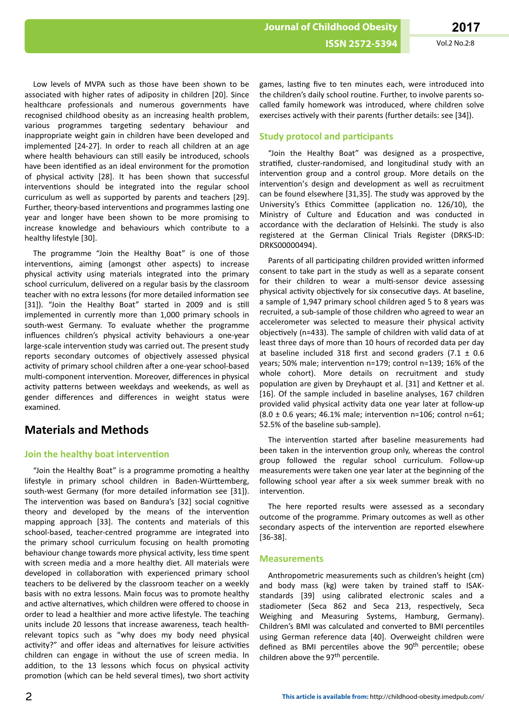Low levels of MVPA such as those have been shown to be associated with higher rates of adiposity in children [20]. Since healthcare professionals and numerous governments have recognised childhood obesity as an increasing health problem, various programmes targeting sedentary behaviour and inappropriate weight gain in children have been developed and implemented [24-27]. In order to reach all children at an age where health behaviours can still easily be introduced, schools have been identified as an ideal environment for the promotion of physical activity [28]. It has been shown that successful interventions should be integrated into the regular school curriculum as well as supported by parents and teachers [29]. Further, theory-based interventions and programmes lasting one year and longer have been shown to be more promising to increase knowledge and behaviours which contribute to a healthy lifestyle [30].

The programme "Join the Healthy Boat" is one of those interventions, aiming (amongst other aspects) to increase physical activity using materials integrated into the primary school curriculum, delivered on a regular basis by the classroom teacher with no extra lessons (for more detailed information see [31]). "Join the Healthy Boat" started in 2009 and is still implemented in currently more than 1,000 primary schools in south-west Germany. To evaluate whether the programme influences children's physical activity behaviours a one-year large-scale intervention study was carried out. The present study reports secondary outcomes of objectively assessed physical activity of primary school children after a one-year school-based multi-component intervention. Moreover, differences in physical activity patterns between weekdays and weekends, as well as gender differences and differences in weight status were examined.

## **Materials and Methods**

## **Join the healthy boat intervention**

"Join the Healthy Boat" is a programme promoting a healthy lifestyle in primary school children in Baden-Württemberg, south-west Germany (for more detailed information see [31]). The intervention was based on Bandura's [32] social cognitive theory and developed by the means of the intervention mapping approach [33]. The contents and materials of this school-based, teacher-centred programme are integrated into the primary school curriculum focusing on health promoting behaviour change towards more physical activity, less time spent with screen media and a more healthy diet. All materials were developed in collaboration with experienced primary school teachers to be delivered by the classroom teacher on a weekly basis with no extra lessons. Main focus was to promote healthy and active alternatives, which children were offered to choose in order to lead a healthier and more active lifestyle. The teaching units include 20 lessons that increase awareness, teach healthrelevant topics such as "why does my body need physical activity?" and offer ideas and alternatives for leisure activities children can engage in without the use of screen media. In addition, to the 13 lessons which focus on physical activity promotion (which can be held several times), two short activity

games, lasting five to ten minutes each, were introduced into the children's daily school routine. Further, to involve parents socalled family homework was introduced, where children solve exercises actively with their parents (further details: see [34]).

## **Study protocol and participants**

"Join the Healthy Boat" was designed as a prospective, stratified, cluster-randomised, and longitudinal study with an intervention group and a control group. More details on the intervention's design and development as well as recruitment can be found elsewhere [31,35]. The study was approved by the University's Ethics Committee (application no. 126/10), the Ministry of Culture and Education and was conducted in accordance with the declaration of Helsinki. The study is also registered at the German Clinical Trials Register (DRKS-ID: DRKS00000494).

Parents of all participating children provided written informed consent to take part in the study as well as a separate consent for their children to wear a multi-sensor device assessing physical activity objectively for six consecutive days. At baseline, a sample of 1,947 primary school children aged 5 to 8 years was recruited, a sub-sample of those children who agreed to wear an accelerometer was selected to measure their physical activity objectively (n=433). The sample of children with valid data of at least three days of more than 10 hours of recorded data per day at baseline included 318 first and second graders (7.1  $\pm$  0.6 years; 50% male; intervention n=179; control n=139; 16% of the whole cohort). More details on recruitment and study population are given by Dreyhaupt et al. [31] and Kettner et al. [16]. Of the sample included in baseline analyses, 167 children provided valid physical activity data one year later at follow-up (8.0  $\pm$  0.6 years; 46.1% male; intervention n=106; control n=61; 52.5% of the baseline sub-sample).

The intervention started after baseline measurements had been taken in the intervention group only, whereas the control group followed the regular school curriculum. Follow-up measurements were taken one year later at the beginning of the following school year after a six week summer break with no intervention.

The here reported results were assessed as a secondary outcome of the programme. Primary outcomes as well as other secondary aspects of the intervention are reported elsewhere [36-38].

## **Measurements**

Anthropometric measurements such as children's height (cm) and body mass (kg) were taken by trained staff to ISAKstandards [39] using calibrated electronic scales and a stadiometer (Seca 862 and Seca 213, respectively, Seca Weighing and Measuring Systems, Hamburg, Germany). Children's BMI was calculated and converted to BMI percentiles using German reference data [40]. Overweight children were defined as BMI percentiles above the  $90<sup>th</sup>$  percentile; obese children above the 97<sup>th</sup> percentile.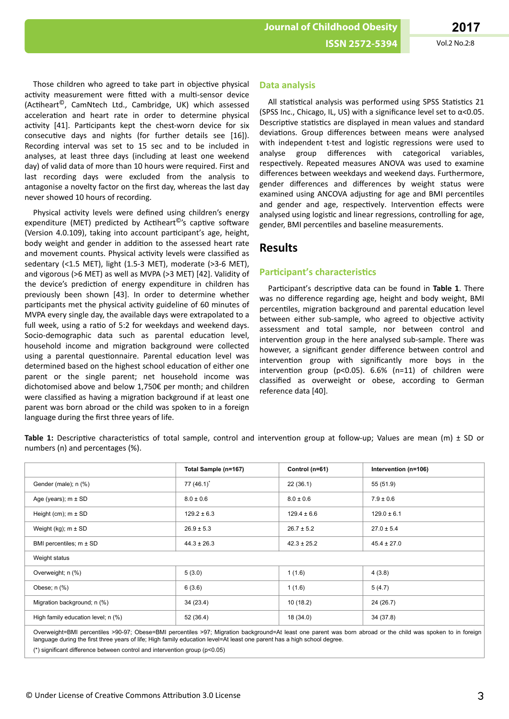Those children who agreed to take part in objective physical activity measurement were fitted with a multi-sensor device (Actiheart<sup>©</sup>, CamNtech Ltd., Cambridge, UK) which assessed acceleration and heart rate in order to determine physical activity [41]. Participants kept the chest-worn device for six consecutive days and nights (for further details see [16]). Recording interval was set to 15 sec and to be included in analyses, at least three days (including at least one weekend day) of valid data of more than 10 hours were required. First and last recording days were excluded from the analysis to antagonise a novelty factor on the first day, whereas the last day never showed 10 hours of recording.

Physical activity levels were defined using children's energy expenditure (MET) predicted by Actiheart<sup>©</sup>'s captive software (Version 4.0.109), taking into account participant's age, height, body weight and gender in addition to the assessed heart rate and movement counts. Physical activity levels were classified as sedentary (<1.5 MET), light (1.5-3 MET), moderate (>3-6 MET), and vigorous (>6 MET) as well as MVPA (>3 MET) [42]. Validity of the device's prediction of energy expenditure in children has previously been shown [43]. In order to determine whether participants met the physical activity guideline of 60 minutes of MVPA every single day, the available days were extrapolated to a full week, using a ratio of 5:2 for weekdays and weekend days. Socio-demographic data such as parental education level, household income and migration background were collected using a parental questionnaire. Parental education level was determined based on the highest school education of either one parent or the single parent; net household income was dichotomised above and below 1,750€ per month; and children were classified as having a migration background if at least one parent was born abroad or the child was spoken to in a foreign language during the first three years of life.

#### **Data analysis**

All statistical analysis was performed using SPSS Statistics 21 (SPSS Inc., Chicago, IL, US) with a significance level set to  $\alpha$ <0.05. Descriptive statistics are displayed in mean values and standard deviations. Group differences between means were analysed with independent t-test and logistic regressions were used to analyse group differences with categorical variables, respectively. Repeated measures ANOVA was used to examine differences between weekdays and weekend days. Furthermore, gender differences and differences by weight status were examined using ANCOVA adjusting for age and BMI percentiles and gender and age, respectively. Intervention effects were analysed using logistic and linear regressions, controlling for age, gender, BMI percentiles and baseline measurements.

## **Results**

### **Participant's characteristics**

Participant's descriptive data can be found in Table 1. There was no difference regarding age, height and body weight, BMI percentiles, migration background and parental education level between either sub-sample, who agreed to objective activity assessment and total sample, nor between control and intervention group in the here analysed sub-sample. There was however, a significant gender difference between control and intervention group with significantly more boys in the intervention group (p<0.05).  $6.6\%$  (n=11) of children were classified as overweight or obese, according to German reference data [40].

Table 1: Descriptive characteristics of total sample, control and intervention group at follow-up; Values are mean (m) ± SD or numbers (n) and percentages (%).

|                                    | Total Sample (n=167) | Control (n=61)  | Intervention (n=106)                                                                                                                                         |
|------------------------------------|----------------------|-----------------|--------------------------------------------------------------------------------------------------------------------------------------------------------------|
| Gender (male); n (%)               | 77 $(46.1)^*$        | 22(36.1)        | 55 (51.9)                                                                                                                                                    |
| Age (years); $m \pm SD$            | $8.0 \pm 0.6$        | $8.0 \pm 0.6$   | $7.9 \pm 0.6$                                                                                                                                                |
| Height (cm); $m \pm SD$            | $129.2 \pm 6.3$      | $129.4 \pm 6.6$ | $129.0 \pm 6.1$                                                                                                                                              |
| Weight (kg); $m \pm SD$            | $26.9 \pm 5.3$       | $26.7 \pm 5.2$  | $27.0 \pm 5.4$                                                                                                                                               |
| BMI percentiles; m ± SD            | $44.3 \pm 26.3$      | $42.3 \pm 25.2$ | $45.4 \pm 27.0$                                                                                                                                              |
| Weight status                      |                      |                 |                                                                                                                                                              |
| Overweight; n (%)                  | 5(3.0)               | 1(1.6)          | 4(3.8)                                                                                                                                                       |
| Obese; $n$ $%$ )                   | 6(3.6)               | 1(1.6)          | 5(4.7)                                                                                                                                                       |
| Migration background; n (%)        | 34(23.4)             | 10(18.2)        | 24 (26.7)                                                                                                                                                    |
| High family education level; n (%) | 52 (36.4)            | 18 (34.0)       | 34 (37.8)                                                                                                                                                    |
|                                    |                      |                 | Overweight-RML perceptiles SQQ 07; Obese-RML perceptiles SQ7; Migration background-At least ane parent was bern abroad or the child was speken to in foreign |

Overweight=BMI percentiles >90-97; Obese=BMI percentiles >97; Migration background=At least one parent was born abroad or the child was spoken to in foreign language during the first three years of life; High family education level=At least one parent has a high school degree.

(\*) significant difference between control and intervention group (p<0.05)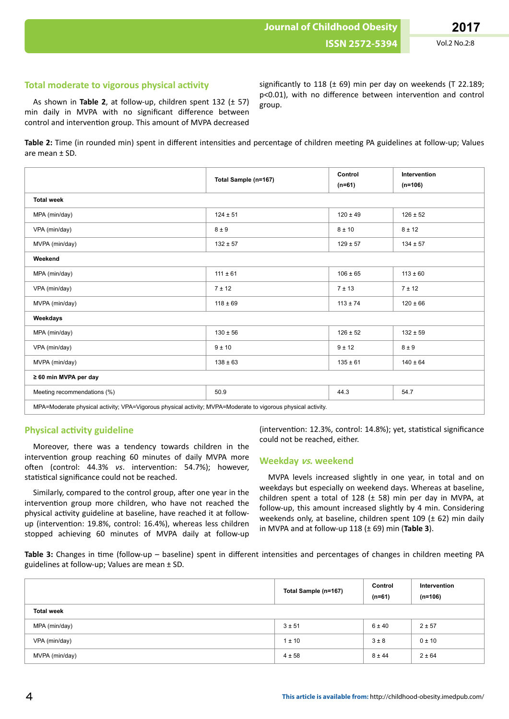**Journal of Childhood Obesity**

### **Total moderate to vigorous physical activity**

As shown in **Table 2**, at follow-up, children spent 132 (± 57) min daily in MVPA with no significant difference between control and intervention group. This amount of MVPA decreased

significantly to 118 ( $\pm$  69) min per day on weekends (T 22.189; p<0.01), with no difference between intervention and control group.

Table 2: Time (in rounded min) spent in different intensities and percentage of children meeting PA guidelines at follow-up; Values are mean ± SD.

|                                                                                                              | Total Sample (n=167) | Control<br>$(n=61)$ | Intervention<br>$(n=106)$ |  |  |  |
|--------------------------------------------------------------------------------------------------------------|----------------------|---------------------|---------------------------|--|--|--|
| <b>Total week</b>                                                                                            |                      |                     |                           |  |  |  |
| MPA (min/day)                                                                                                | $124 \pm 51$         | $120 \pm 49$        | $126 \pm 52$              |  |  |  |
| VPA (min/day)                                                                                                | $8 \pm 9$            | 8 ± 10              | $8 \pm 12$                |  |  |  |
| MVPA (min/day)                                                                                               | $132 \pm 57$         | $129 \pm 57$        | $134 \pm 57$              |  |  |  |
| Weekend                                                                                                      |                      |                     |                           |  |  |  |
| MPA (min/day)                                                                                                | $111 \pm 61$         | $106 \pm 65$        | $113 \pm 60$              |  |  |  |
| VPA (min/day)                                                                                                | 7 ± 12               | 7 ± 13              | 7 ± 12                    |  |  |  |
| MVPA (min/day)                                                                                               | $118 \pm 69$         | $113 \pm 74$        | $120 \pm 66$              |  |  |  |
| Weekdays                                                                                                     |                      |                     |                           |  |  |  |
| MPA (min/day)                                                                                                | $130 \pm 56$         | $126 \pm 52$        | $132 \pm 59$              |  |  |  |
| VPA (min/day)                                                                                                | 9 ± 10               | 9 ± 12              | $8 \pm 9$                 |  |  |  |
| MVPA (min/day)                                                                                               | $138 \pm 63$         | $135 \pm 61$        | $140 \pm 64$              |  |  |  |
| ≥ 60 min MVPA per day                                                                                        |                      |                     |                           |  |  |  |
| Meeting recommendations (%)                                                                                  | 50.9                 | 44.3                | 54.7                      |  |  |  |
| MPA=Moderate physical activity; VPA=Vigorous physical activity; MVPA=Moderate to vigorous physical activity. |                      |                     |                           |  |  |  |

### **Physical activity guideline**

Moreover, there was a tendency towards children in the intervention group reaching 60 minutes of daily MVPA more often (control: 44.3% *vs*. intervention: 54.7%); however, statistical significance could not be reached.

Similarly, compared to the control group, after one year in the intervention group more children, who have not reached the physical activity guideline at baseline, have reached it at followup (intervention: 19.8%, control: 16.4%), whereas less children stopped achieving 60 minutes of MVPA daily at follow-up

(intervention: 12.3%, control: 14.8%); yet, statistical significance could not be reached, either.

#### **Weekday vs. weekend**

MVPA levels increased slightly in one year, in total and on weekdays but especially on weekend days. Whereas at baseline, children spent a total of 128 ( $\pm$  58) min per day in MVPA, at follow-up, this amount increased slightly by 4 min. Considering weekends only, at baseline, children spent  $109$  ( $\pm$  62) min daily in MVPA and at follow-up 118 (± 69) min (**Table 3**).

Table 3: Changes in time (follow-up – baseline) spent in different intensities and percentages of changes in children meeting PA guidelines at follow-up; Values are mean ± SD.

|                   | Total Sample (n=167) | Control<br>$(n=61)$ | Intervention<br>$(n=106)$ |
|-------------------|----------------------|---------------------|---------------------------|
| <b>Total week</b> |                      |                     |                           |
| MPA (min/day)     | $3 + 51$             | 6 ± 40              | $2 + 57$                  |
| VPA (min/day)     | $1 \pm 10$           | $3 \pm 8$           | $0 \pm 10$                |
| MVPA (min/day)    | $4 \pm 58$           | $8 + 44$            | 2 ± 64                    |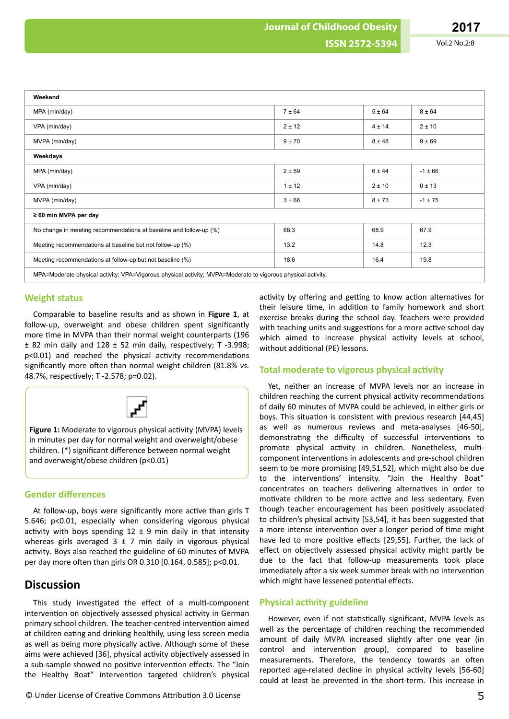| Weekend                                                                                                      |            |            |             |  |  |  |
|--------------------------------------------------------------------------------------------------------------|------------|------------|-------------|--|--|--|
| MPA (min/day)                                                                                                | 7 ± 64     | 5 ± 64     | $8 + 64$    |  |  |  |
| VPA (min/day)                                                                                                | 2 ± 12     | 4 ± 14     | 2 ± 10      |  |  |  |
| MVPA (min/day)                                                                                               | $9 + 70$   | $8 + 48$   | $9 + 69$    |  |  |  |
| Weekdays                                                                                                     |            |            |             |  |  |  |
| MPA (min/day)                                                                                                | 2 ± 59     | 6 ± 44     | $-1 \pm 66$ |  |  |  |
| VPA (min/day)                                                                                                | $1 \pm 12$ | $2 \pm 10$ | 0±13        |  |  |  |
| MVPA (min/day)                                                                                               | 3 ± 66     | $8 + 73$   | $-1 \pm 75$ |  |  |  |
| $\geq 60$ min MVPA per day                                                                                   |            |            |             |  |  |  |
| No change in meeting recommendations at baseline and follow-up (%)                                           | 68.3       | 68.9       | 67.9        |  |  |  |
| Meeting recommendations at baseline but not follow-up (%)                                                    | 13.2       | 14.8       | 12.3        |  |  |  |
| Meeting recommendations at follow-up but not baseline (%)                                                    | 18.6       | 16.4       | 19.8        |  |  |  |
| MPA=Moderate physical activity; VPA=Vigorous physical activity; MVPA=Moderate to vigorous physical activity. |            |            |             |  |  |  |

#### **Weight status**

Comparable to baseline results and as shown in **Figure 1**, at follow-up, overweight and obese children spent significantly more time in MVPA than their normal weight counterparts (196  $± 82$  min daily and  $128 ± 52$  min daily, respectively; T -3.998;  $p$ <0.01) and reached the physical activity recommendations significantly more often than normal weight children (81.8% vs. 48.7%, respectively; T -2.578; p=0.02).



Figure 1: Moderate to vigorous physical activity (MVPA) levels in minutes per day for normal weight and overweight/obese children. (\*) significant difference between normal weight and overweight/obese children (p<0.01)

### **Gender differences**

At follow-up, boys were significantly more active than girls T 5.646; p<0.01, especially when considering vigorous physical activity with boys spending  $12 \pm 9$  min daily in that intensity whereas girls averaged  $3 \pm 7$  min daily in vigorous physical activity. Boys also reached the guideline of 60 minutes of MVPA per day more often than girls OR 0.310  $[0.164, 0.585]$ ; p<0.01.

## **Discussion**

This study investigated the effect of a multi-component intervention on objectively assessed physical activity in German primary school children. The teacher-centred intervention aimed at children eating and drinking healthily, using less screen media as well as being more physically active. Although some of these aims were achieved [36], physical activity objectively assessed in a sub-sample showed no positive intervention effects. The "Join the Healthy Boat" intervention targeted children's physical

activity by offering and getting to know action alternatives for their leisure time, in addition to family homework and short exercise breaks during the school day. Teachers were provided with teaching units and suggestions for a more active school day which aimed to increase physical activity levels at school, without additional (PE) lessons.

### **Total moderate to vigorous physical activity**

Yet, neither an increase of MVPA levels nor an increase in children reaching the current physical activity recommendations of daily 60 minutes of MVPA could be achieved, in either girls or boys. This situation is consistent with previous research [44,45] as well as numerous reviews and meta-analyses [46-50], demonstrating the difficulty of successful interventions to promote physical activity in children. Nonetheless, multicomponent interventions in adolescents and pre-school children seem to be more promising [49,51,52], which might also be due to the interventions' intensity. "Join the Healthy Boat" concentrates on teachers delivering alternatives in order to motivate children to be more active and less sedentary. Even though teacher encouragement has been positively associated to children's physical activity [53,54], it has been suggested that a more intense intervention over a longer period of time might have led to more positive effects [29,55]. Further, the lack of effect on objectively assessed physical activity might partly be due to the fact that follow-up measurements took place immediately after a six week summer break with no intervention which might have lessened potential effects.

## **Physical activity guideline**

However, even if not statistically significant, MVPA levels as well as the percentage of children reaching the recommended amount of daily MVPA increased slightly after one year (in control and intervention group), compared to baseline measurements. Therefore, the tendency towards an often reported age-related decline in physical activity levels [56-60] could at least be prevented in the short-term. This increase in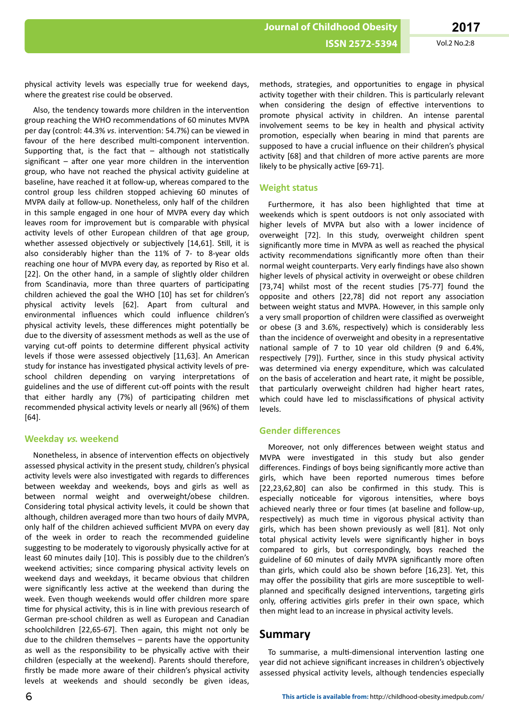physical activity levels was especially true for weekend days, where the greatest rise could be observed.

Also, the tendency towards more children in the intervention group reaching the WHO recommendations of 60 minutes MVPA per day (control: 44.3% *vs*. intervention: 54.7%) can be viewed in favour of the here described multi-component intervention. Supporting that, is the fact that – although not statistically significant – after one year more children in the intervention group, who have not reached the physical activity guideline at baseline, have reached it at follow-up, whereas compared to the control group less children stopped achieving 60 minutes of MVPA daily at follow-up. Nonetheless, only half of the children in this sample engaged in one hour of MVPA every day which leaves room for improvement but is comparable with physical activity levels of other European children of that age group, whether assessed objectively or subjectively [14,61]. Still, it is also considerably higher than the 11% of 7- to 8-year olds reaching one hour of MVPA every day, as reported by Riso et al. [22]. On the other hand, in a sample of slightly older children from Scandinavia, more than three quarters of participating children achieved the goal the WHO [10] has set for children's physical activity levels [62]. Apart from cultural and environmental influences which could influence children's physical activity levels, these differences might potentially be due to the diversity of assessment methods as well as the use of varying cut-off points to determine different physical activity levels if those were assessed objectively [11,63]. An American study for instance has investigated physical activity levels of preschool children depending on varying interpretations of guidelines and the use of different cut-off points with the result that either hardly any (7%) of participating children met recommended physical activity levels or nearly all (96%) of them [64].

#### **Weekday vs. weekend**

Nonetheless, in absence of intervention effects on objectively assessed physical activity in the present study, children's physical activity levels were also investigated with regards to differences between weekday and weekends, boys and girls as well as between normal weight and overweight/obese children. Considering total physical activity levels, it could be shown that although, children averaged more than two hours of daily MVPA, only half of the children achieved sufficient MVPA on every day of the week in order to reach the recommended guideline suggesting to be moderately to vigorously physically active for at least 60 minutes daily [10]. This is possibly due to the children's weekend activities; since comparing physical activity levels on weekend days and weekdays, it became obvious that children were significantly less active at the weekend than during the week. Even though weekends would offer children more spare time for physical activity, this is in line with previous research of German pre-school children as well as European and Canadian schoolchildren [22,65-67]. Then again, this might not only be due to the children themselves – parents have the opportunity as well as the responsibility to be physically active with their children (especially at the weekend). Parents should therefore, firstly be made more aware of their children's physical activity levels at weekends and should secondly be given ideas,

methods, strategies, and opportunities to engage in physical activity together with their children. This is particularly relevant when considering the design of effective interventions to promote physical activity in children. An intense parental involvement seems to be key in health and physical activity promotion, especially when bearing in mind that parents are supposed to have a crucial influence on their children's physical activity [68] and that children of more active parents are more likely to be physically active [69-71].

## **Weight status**

Furthermore, it has also been highlighted that time at weekends which is spent outdoors is not only associated with higher levels of MVPA but also with a lower incidence of overweight [72]. In this study, overweight children spent significantly more time in MVPA as well as reached the physical activity recommendations significantly more often than their normal weight counterparts. Very early findings have also shown higher levels of physical activity in overweight or obese children [73,74] whilst most of the recent studies [75-77] found the opposite and others [22,78] did not report any association between weight status and MVPA. However, in this sample only a very small proportion of children were classified as overweight or obese (3 and 3.6%, respectively) which is considerably less than the incidence of overweight and obesity in a representative national sample of 7 to 10 year old children (9 and 6.4%, respectively [79]). Further, since in this study physical activity was determined via energy expenditure, which was calculated on the basis of acceleration and heart rate, it might be possible, that particularly overweight children had higher heart rates, which could have led to misclassifications of physical activity levels.

#### **Gender differences**

Moreover, not only differences between weight status and MVPA were investigated in this study but also gender differences. Findings of boys being significantly more active than girls, which have been reported numerous times before  $[22, 23, 62, 80]$  can also be confirmed in this study. This is especially noticeable for vigorous intensities, where boys achieved nearly three or four times (at baseline and follow-up, respectively) as much time in vigorous physical activity than girls, which has been shown previously as well [81]. Not only total physical activity levels were significantly higher in boys compared to girls, but correspondingly, boys reached the guideline of 60 minutes of daily MVPA significantly more often than girls, which could also be shown before [16,23]. Yet, this may offer the possibility that girls are more susceptible to wellplanned and specifically designed interventions, targeting girls only, offering activities girls prefer in their own space, which then might lead to an increase in physical activity levels.

## **Summary**

To summarise, a multi-dimensional intervention lasting one year did not achieve significant increases in children's objectively assessed physical activity levels, although tendencies especially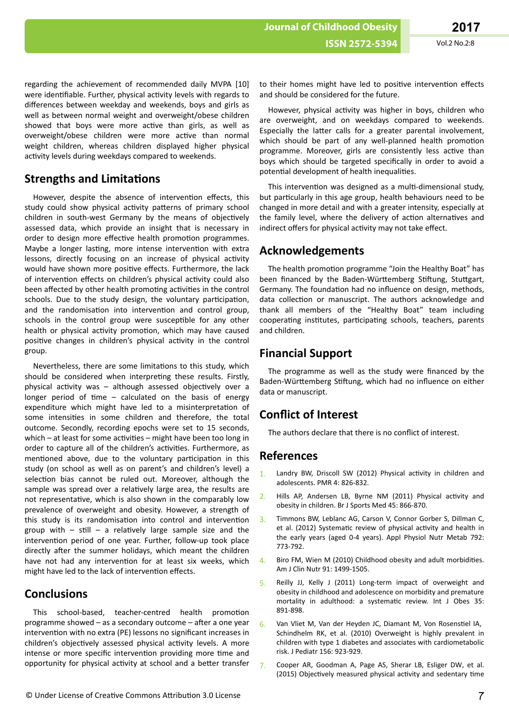regarding the achievement of recommended daily MVPA [10] were identifiable. Further, physical activity levels with regards to differences between weekday and weekends, boys and girls as well as between normal weight and overweight/obese children showed that boys were more active than girls, as well as overweight/obese children were more active than normal weight children, whereas children displayed higher physical activity levels during weekdays compared to weekends.

## **Strengths and Limitations**

However, despite the absence of intervention effects, this study could show physical activity patterns of primary school children in south-west Germany by the means of objectively assessed data, which provide an insight that is necessary in order to design more effective health promotion programmes. Maybe a longer lasting, more intense intervention with extra lessons, directly focusing on an increase of physical activity would have shown more positive effects. Furthermore, the lack of intervention effects on children's physical activity could also been affected by other health promoting activities in the control schools. Due to the study design, the voluntary participation. and the randomisation into intervention and control group, schools in the control group were susceptible for any other health or physical activity promotion, which may have caused positive changes in children's physical activity in the control group.

Nevertheless, there are some limitations to this study, which should be considered when interpreting these results. Firstly, physical activity was – although assessed objectively over a longer period of time  $-$  calculated on the basis of energy expenditure which might have led to a misinterpretation of some intensities in some children and therefore, the total outcome. Secondly, recording epochs were set to 15 seconds, which – at least for some activities – might have been too long in order to capture all of the children's activities. Furthermore, as mentioned above, due to the voluntary participation in this study (on school as well as on parent's and children's level) a selection bias cannot be ruled out. Moreover, although the sample was spread over a relatively large area, the results are not representative, which is also shown in the comparably low prevalence of overweight and obesity. However, a strength of this study is its randomisation into control and intervention group with – still – a relatively large sample size and the intervention period of one year. Further, follow-up took place directly after the summer holidays, which meant the children have not had any intervention for at least six weeks, which might have led to the lack of intervention effects.

## **Conclusions**

This school-based, teacher-centred health promotion programme showed – as a secondary outcome – after a one year intervention with no extra (PE) lessons no significant increases in children's objectively assessed physical activity levels. A more intense or more specific intervention providing more time and opportunity for physical activity at school and a better transfer

to their homes might have led to positive intervention effects and should be considered for the future.

However, physical activity was higher in boys, children who are overweight, and on weekdays compared to weekends. Especially the latter calls for a greater parental involvement, which should be part of any well-planned health promotion programme. Moreover, girls are consistently less active than boys which should be targeted specifically in order to avoid a potential development of health inequalities.

This intervention was designed as a multi-dimensional study, but particularly in this age group, health behaviours need to be changed in more detail and with a greater intensity, especially at the family level, where the delivery of action alternatives and indirect offers for physical activity may not take effect.

## **Acknowledgements**

The health promotion programme "Join the Healthy Boat" has been financed by the Baden-Württemberg Stiftung, Stuttgart, Germany. The foundation had no influence on design, methods, data collection or manuscript. The authors acknowledge and thank all members of the "Healthy Boat" team including cooperating institutes, participating schools, teachers, parents and children.

## **Financial Support**

The programme as well as the study were financed by the Baden-Württemberg Stiftung, which had no influence on either data or manuscript.

# **Conflict of Interest**

The authors declare that there is no conflict of interest.

## **References**

- 1. Landry BW, Driscoll SW (2012) Physical activity in children and adolescents. PMR 4: 826-832.
- 2. Hills AP, Andersen LB, Byrne NM (2011) Physical activity and obesity in children. Br J Sports Med 45: 866-870.
- 3. Timmons BW, Leblanc AG, Carson V, Connor Gorber S, Dillman C, et al. (2012) Systematic review of physical activity and health in the early years (aged 0-4 years). Appl Physiol Nutr Metab 792: 773-792.
- 4. Biro FM, Wien M (2010) Childhood obesity and adult morbidities. Am J Clin Nutr 91: 1499-1505.
- 5. Reilly JJ, Kelly J (2011) Long-term impact of overweight and obesity in childhood and adolescence on morbidity and premature mortality in adulthood: a systematic review. Int J Obes 35: 891-898.
- 6. [Van Vliet](http://www.sciencedirect.com/science/article/pii/S0022347609012463) M, [Van der Heyden](http://www.sciencedirect.com/science/article/pii/S0022347609012463) JC, [Diamant](http://www.sciencedirect.com/science/article/pii/S0022347609012463) M, Von Rosenstiel IA, [Schindhelm](http://www.sciencedirect.com/science/article/pii/S0022347609012463) RK, et al. (2010) Overweight is highly prevalent in children with type 1 diabetes and associates with cardiometabolic risk. [J Pediatr](http://www.sciencedirect.com/science/journal/00223476) [156](http://www.sciencedirect.com/science/journal/00223476/156/6): 923-929.
- 7. Cooper AR, Goodman A, Page AS, Sherar LB, Esliger DW, et al. (2015) Objectively measured physical activity and sedentary time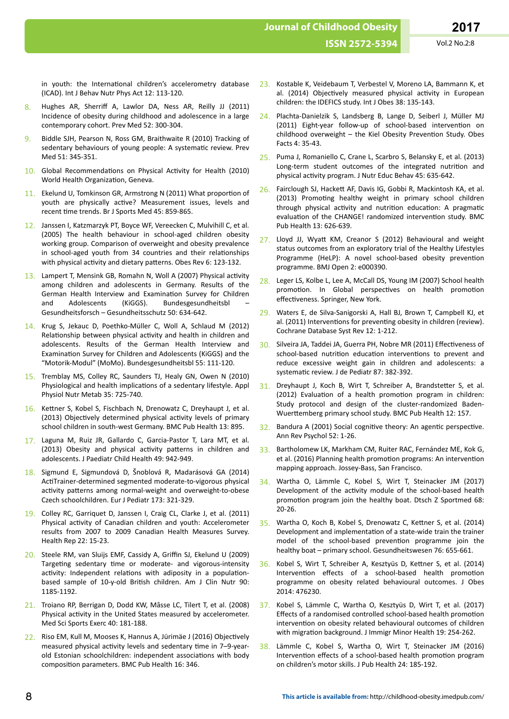in youth: the International children's accelerometry database (ICAD). Int J Behav Nutr Phys Act 12: 113-120.

- 8. Hughes AR, Sherriff A, Lawlor DA, Ness AR, Reilly JJ (2011) Incidence of obesity during childhood and adolescence in a large contemporary cohort. Prev Med 52: 300-304.
- 9. Biddle SJH, Pearson N, Ross GM, Braithwaite R (2010) Tracking of sedentary behaviours of young people: A systematic review. Prev Med 51: 345-351.
- 10. Global Recommendations on Physical Activity for Health (2010) World Health Organization, Geneva.
- 11. Ekelund U, Tomkinson GR, Armstrong N (2011) What proportion of youth are physically active? Measurement issues, levels and recent time trends. Br J Sports Med 45: 859-865.
- 12. Janssen I, Katzmarzyk PT, Boyce WF, Vereecken C, Mulvihill C, et al. (2005) The health behaviour in school-aged children obesity working group. Comparison of overweight and obesity prevalence in school-aged youth from 34 countries and their relationships with physical activity and dietary patterns. Obes Rev 6: 123-132.
- 13. Lampert T, Mensink GB, Romahn N, Woll A (2007) Physical activity among children and adolescents in Germany. Results of the German Health Interview and Examination Survey for Children and Adolescents (KiGGS). Bundesgesundheitsbl – Gesundheitsforsch – Gesundheitsschutz 50: 634-642.
- 14. Krug S, Jekauc D, Poethko-Müller C, Woll A, Schlaud M (2012) Relationship between physical activity and health in children and adolescents. Results of the German Health Interview and Examination Survey for Children and Adolescents (KiGGS) and the "Motorik-Modul" (MoMo). Bundesgesundheitsbl 55: 111-120.
- 15. Tremblay MS, Colley RC, Saunders TJ, Healy GN, Owen N (2010) Physiological and health implications of a sedentary lifestyle. Appl Physiol Nutr Metab 35: 725-740.
- 16. Kettner S, Kobel S, Fischbach N, Drenowatz C, Dreyhaupt J, et al. (2013) Objectively determined physical activity levels of primary school children in south-west Germany. BMC Pub Health 13: 895.
- 17. Laguna M, Ruiz JR, Gallardo C, Garcia-Pastor T, Lara MT, et al. (2013) Obesity and physical activity patterns in children and adolescents. J Paediatr Child Health 49: 942-949.
- 18. Sigmund E, Sigmundová D, Šnoblová R, Madarásová GA (2014) ActiTrainer-determined segmented moderate-to-vigorous physical activity patterns among normal-weight and overweight-to-obese Czech schoolchildren. Eur J Pediatr 173: 321-329.
- 19. Colley RC, Garriquet D, Janssen I, Craig CL, Clarke J, et al. (2011) Physical activity of Canadian children and youth: Accelerometer results from 2007 to 2009 Canadian Health Measures Survey. Health Rep 22: 15-23.
- 20. Steele RM, van Sluijs EMF, Cassidy A, Griffin SJ, Ekelund U (2009) Targeting sedentary time or moderate- and vigorous-intensity activity: Independent relations with adiposity in a populationbased sample of 10-y-old British children. Am J Clin Nutr 90: 1185-1192.
- 21. Troiano RP, Berrigan D, Dodd KW, Mȃsse LC, Tilert T, et al. (2008) Physical activity in the United States measured by accelerometer. Med Sci Sports Exerc 40: 181-188.
- 22. Riso EM, Kull M, Mooses K, Hannus A, Jürimäe J (2016) Objectively measured physical activity levels and sedentary time in 7–9-yearold Estonian schoolchildren: independent associations with body composition parameters. BMC Pub Health 16: 346.
- 23. Kostable K, Veidebaum T, Verbestel V, Moreno LA, Bammann K, et al. (2014) Objectively measured physical activity in European children: the IDEFICS study. Int J Obes 38: 135-143.
- 24. Plachta-Danielzik S, Landsberg B, Lange D, Seiberl J, Müller MJ (2011) Eight-year follow-up of school-based intervention on  $childhood overweight - the Kiel Obesity Prevention Study. Obes$ Facts 4: 35-43.
- 25. Puma J, Romaniello C, Crane L, Scarbro S, Belansky E, et al. (2013) Long-term student outcomes of the integrated nutrition and physical activity program. J Nutr Educ Behav 45: 635-642.
- 26. Fairclough SJ, Hackett AF, Davis IG, Gobbi R, Mackintosh KA, et al. (2013) Promoting healthy weight in primary school children through physical activity and nutrition education: A pragmatic evaluation of the CHANGE! randomized intervention study. BMC Pub Health 13: 626-639.
- 27. Lloyd JJ, Wyatt KM, Creanor S (2012) Behavioural and weight status outcomes from an exploratory trial of the Healthy Lifestyles Programme (HeLP): A novel school-based obesity prevention programme. BMJ Open 2: e000390.
- 28. Leger LS, Kolbe L, Lee A, McCall DS, Young IM (2007) School health promotion. In Global perspectives on health promotion effectiveness. Springer, New York.
- 29. Waters E, de Silva-Sanigorski A, Hall BJ, Brown T, Campbell KJ, et al. (2011) Interventions for preventing obesity in children (review). Cochrane Database Syst Rev 12: 1-212.
- 30. Silveira JA, Taddei JA, Guerra PH, Nobre MR (2011) Effectiveness of school-based nutrition education interventions to prevent and reduce excessive weight gain in children and adolescents: a systematic review. J de Pediatr 87: 382-392.
- 31. Dreyhaupt J, Koch B, Wirt T, Schreiber A, Brandstetter S, et al. (2012) Evaluation of a health promotion program in children: Study protocol and design of the cluster-randomized Baden-Wuerttemberg primary school study. BMC Pub Health 12: 157.
- $32.$  Bandura A (2001) Social cognitive theory: An agentic perspective. Ann Rev Psychol 52: 1-26.
- 33. Bartholomew LK, Markham CM, Ruiter RAC, Fernández ME, Kok G, et al. (2016) Planning health promotion programs: An intervention mapping approach. Jossey-Bass, San Francisco.
- 34. Wartha O, Lämmle C, Kobel S, Wirt T, Steinacker JM (2017) Development of the activity module of the school-based health promotion program join the healthy boat. Dtsch Z Sportmed 68: 20-26.
- 35. Wartha O, Koch B, Kobel S, Drenowatz C, Kettner S, et al. (2014) Development and implementation of a state-wide train the trainer model of the school-based prevention programme join the healthy boat – primary school. Gesundheitswesen 76: 655-661.
- 36. Kobel S, Wirt T, Schreiber A, Kesztyüs D, Kettner S, et al. (2014) Intervention effects of a school-based health promotion programme on obesity related behavioural outcomes. J Obes 2014: 476230.
- 37. Kobel S, Lämmle C, Wartha O, Kesztyüs D, Wirt T, et al. (2017) Effects of a randomised controlled school-based health promotion intervention on obesity related behavioural outcomes of children with migration background. J Immigr Minor Health 19: 254-262.
- 38. Lämmle C, Kobel S, Wartha O, Wirt T, Steinacker JM (2016) Intervention effects of a school-based health promotion program on children's motor skills. J Pub Health 24: 185-192.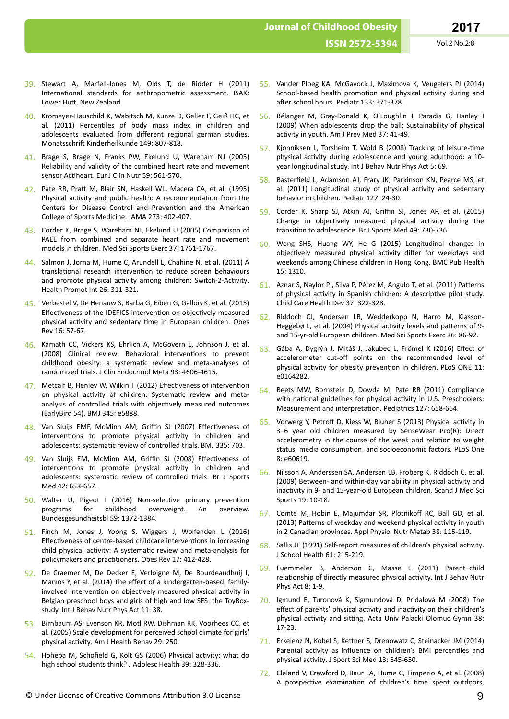- 39. Stewart A, Marfell-Jones M, Olds T, de Ridder H (2011) International standards for anthropometric assessment. ISAK: Lower Hutt, New Zealand.
- 40. Kromeyer-Hauschild K, Wabitsch M, Kunze D, Geller F, Geiß HC, et al. (2011) Percentiles of body mass index in children and adolescents evaluated from different regional german studies. Monatsschrift Kinderheilkunde 149: 807-818.
- 41. Brage S, Brage N, Franks PW, Ekelund U, Wareham NJ (2005) Reliability and validity of the combined heart rate and movement sensor Actiheart. Eur J Clin Nutr 59: 561-570.
- 42. Pate RR, Pratt M, Blair SN, Haskell WL, Macera CA, et al. (1995) Physical activity and public health: A recommendation from the Centers for Disease Control and Prevention and the American College of Sports Medicine. JAMA 273: 402-407.
- 43. Corder K, Brage S, Wareham NJ, Ekelund U (2005) Comparison of PAEE from combined and separate heart rate and movement models in children. Med Sci Sports Exerc 37: 1761-1767.
- 44. Salmon J, Jorna M, Hume C, Arundell L, Chahine N, et al. (2011) A translational research intervention to reduce screen behaviours and promote physical activity among children: Switch-2-Activity. Health Promot Int 26: 311-321.
- 45. Verbestel V, De Henauw S, Barba G, Eiben G, Gallois K, et al. (2015) Effectiveness of the IDEFICS intervention on objectively measured physical activity and sedentary time in European children. Obes Rev 16: 57-67.
- 46. Kamath CC, Vickers KS, Ehrlich A, McGovern L, Johnson J, et al. (2008) Clinical review: Behavioral interventions to prevent childhood obesity: a systematic review and meta-analyses of randomized trials. J Clin Endocrinol Meta 93: 4606-4615.
- 47. Metcalf B, Henley W, Wilkin T (2012) Effectiveness of intervention on physical activity of children: Systematic review and metaanalysis of controlled trials with objectively measured outcomes (EarlyBird 54). BMJ 345: e5888.
- 48. Van Sluijs EMF, McMinn AM, Griffin SJ (2007) Effectiveness of interventions to promote physical activity in children and adolescents: systematic review of controlled trials. BMJ 335: 703.
- 49. Van Sluijs EM, McMinn AM, Griffin SJ (2008) Effectiveness of interventions to promote physical activity in children and adolescents: systematic review of controlled trials. Br J Sports Med 42: 653-657.
- 50. Walter U, Pigeot I (2016) Non-selective primary prevention programs for childhood overweight. An overview. Bundesgesundheitsbl 59: 1372-1384.
- 51. Finch M, Jones J, Yoong S, Wiggers J, Wolfenden L (2016) Effectiveness of centre-based childcare interventions in increasing child physical activity: A systematic review and meta-analysis for policymakers and practitioners. Obes Rev 17: 412-428.
- 52. De Craemer M, De Decker E, Verloigne M, De Bourdeaudhuij I, Manios Y, et al. (2014) The effect of a kindergarten-based, familyinvolved intervention on objectively measured physical activity in Belgian preschool boys and girls of high and low SES: the ToyBoxstudy. Int J Behav Nutr Phys Act 11: 38.
- 53. Birnbaum AS, Evenson KR, Motl RW, Dishman RK, Voorhees CC, et al. (2005) Scale development for perceived school climate for girls' physical activity. Am J Health Behav 29: 250.
- 54. Hohepa M, Schofield G, Kolt GS (2006) Physical activity: what do high school students think? J Adolesc Health 39: 328-336.
- 55. Vander Ploeg KA, McGavock J, Maximova K, Veugelers PJ (2014) School-based health promotion and physical activity during and after school hours. Pediatr 133: 371-378.
- 56. Bélanger M, Gray-Donald K, O'Loughlin J, Paradis G, Hanley J (2009) When adolescents drop the ball: Sustainability of physical activity in youth. Am J Prev Med 37: 41-49.
- 57. Kjonniksen L, Torsheim T, Wold B (2008) Tracking of leisure-time physical activity during adolescence and young adulthood: a 10year longitudinal study. Int J Behav Nutr Phys Act 5: 69.
- 58. Basterfield L, Adamson AJ, Frary JK, Parkinson KN, Pearce MS, et al. (2011) Longitudinal study of physical activity and sedentary behavior in children. Pediatr 127: 24-30.
- 59. Corder K, Sharp SJ, Atkin AJ, Griffin SJ, Jones AP, et al. (2015) Change in objectively measured physical activity during the transition to adolescence. Br J Sports Med 49: 730-736.
- 60. Wong SHS, Huang WY, He G (2015) Longitudinal changes in objectively measured physical activity differ for weekdays and weekends among Chinese children in Hong Kong. BMC Pub Health 15: 1310.
- 61. Aznar S, Naylor PJ, Silva P, Pérez M, Angulo T, et al. (2011) Patterns of physical activity in Spanish children: A descriptive pilot study. Child Care Health Dev 37: 322-328.
- 62. Riddoch CJ, Andersen LB, Wedderkopp N, Harro M, Klasson-Heggebø L, et al. (2004) Physical activity levels and patterns of 9and 15-yr-old European children. Med Sci Sports Exerc 36: 86-92.
- 63. Gába A, Dygrýn J, Mitáš J, Jakubec L, Frömel K (2016) Effect of accelerometer cut-off points on the recommended level of physical activity for obesity prevention in children. PLoS ONE 11: e0164282.
- 64. Beets MW, Bornstein D, Dowda M, Pate RR (2011) Compliance with national guidelines for physical activity in U.S. Preschoolers: Measurement and interpretation. Pediatrics 127: 658-664.
- 65. Vorwerg Y, Petroff D, Kiess W, Bluher S (2013) Physical activity in 3–6 year old children measured by SenseWear Pro(R): Direct accelerometry in the course of the week and relation to weight status, media consumption, and socioeconomic factors. PLoS One 8: e60619.
- 66. Nilsson A, Anderssen SA, Andersen LB, Froberg K, Riddoch C, et al. (2009) Between- and within-day variability in physical activity and inactivity in 9- and 15-year-old European children. Scand J Med Sci Sports 19: 10-18.
- 67. Comte M, Hobin E, Majumdar SR, Plotnikoff RC, Ball GD, et al. (2013) Patterns of weekday and weekend physical activity in youth in 2 Canadian provinces. Appl Physiol Nutr Metab 38: 115-119.
- 68. Sallis JF (1991) Self-report measures of children's physical activity. J School Health 61: 215-219.
- 69. Fuemmeler B, Anderson C, Masse L (2011) Parent–child relationship of directly measured physical activity. Int J Behav Nutr Phys Act 8: 1-9.
- 70. Igmund E, Turonová K, Sigmundová D, Pridalová M (2008) The effect of parents' physical activity and inactivity on their children's physical activity and sitting. Acta Univ Palacki Olomuc Gymn 38: 17-23.
- 71. Erkelenz N, Kobel S, Kettner S, Drenowatz C, Steinacker JM (2014) Parental activity as influence on children's BMI percentiles and physical activity. J Sport Sci Med 13: 645-650.
- 72. Cleland V, Crawford D, Baur LA, Hume C, Timperio A, et al. (2008) A prospective examination of children's time spent outdoors,